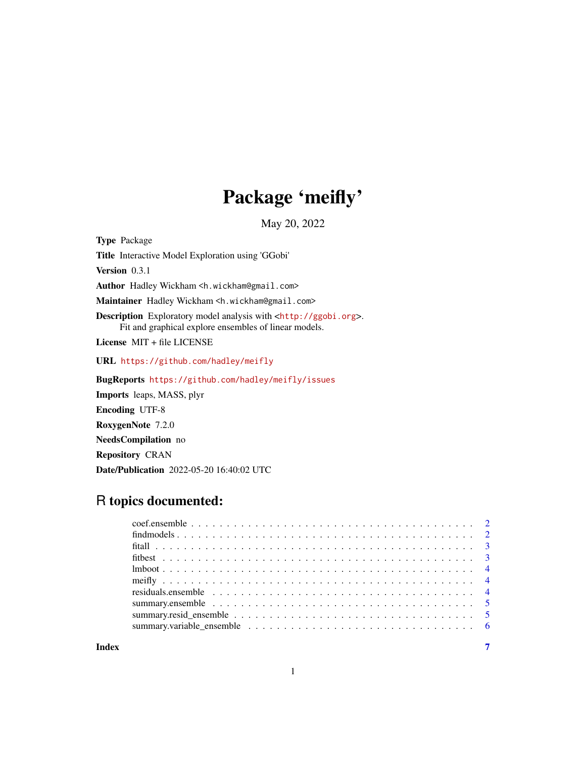## Package 'meifly'

May 20, 2022

<span id="page-0-0"></span>Type Package Title Interactive Model Exploration using 'GGobi' Version 0.3.1 Author Hadley Wickham <h.wickham@gmail.com> Maintainer Hadley Wickham <h.wickham@gmail.com> Description Exploratory model analysis with <<http://ggobi.org>>. Fit and graphical explore ensembles of linear models. License MIT + file LICENSE URL <https://github.com/hadley/meifly> BugReports <https://github.com/hadley/meifly/issues> Imports leaps, MASS, plyr Encoding UTF-8 RoxygenNote 7.2.0 NeedsCompilation no

Repository CRAN

Date/Publication 2022-05-20 16:40:02 UTC

### R topics documented:

| summary.ensemble $\ldots \ldots \ldots \ldots \ldots \ldots \ldots \ldots \ldots \ldots \ldots \ldots \ldots 5$ |  |
|-----------------------------------------------------------------------------------------------------------------|--|
|                                                                                                                 |  |
|                                                                                                                 |  |
|                                                                                                                 |  |

**Index** [7](#page-6-0) **7**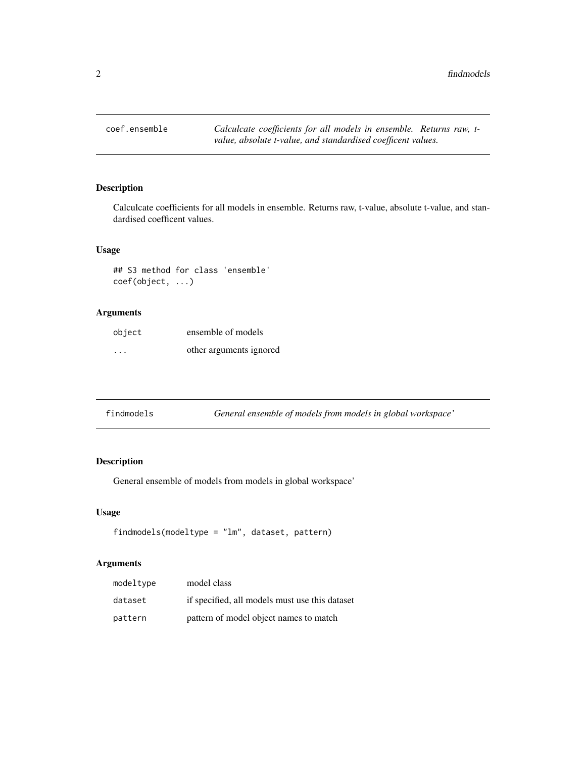<span id="page-1-0"></span>coef.ensemble *Calculcate coefficients for all models in ensemble. Returns raw, tvalue, absolute t-value, and standardised coefficent values.*

#### Description

Calculcate coefficients for all models in ensemble. Returns raw, t-value, absolute t-value, and standardised coefficent values.

#### Usage

## S3 method for class 'ensemble' coef(object, ...)

#### Arguments

| object                  | ensemble of models      |
|-------------------------|-------------------------|
| $\cdot$ $\cdot$ $\cdot$ | other arguments ignored |

| findmodels | General ensemble of models from models in global workspace' |  |
|------------|-------------------------------------------------------------|--|
|------------|-------------------------------------------------------------|--|

#### Description

General ensemble of models from models in global workspace'

#### Usage

```
findmodels(modeltype = "lm", dataset, pattern)
```
#### Arguments

| modeltype | model class                                    |
|-----------|------------------------------------------------|
| dataset   | if specified, all models must use this dataset |
| pattern   | pattern of model object names to match         |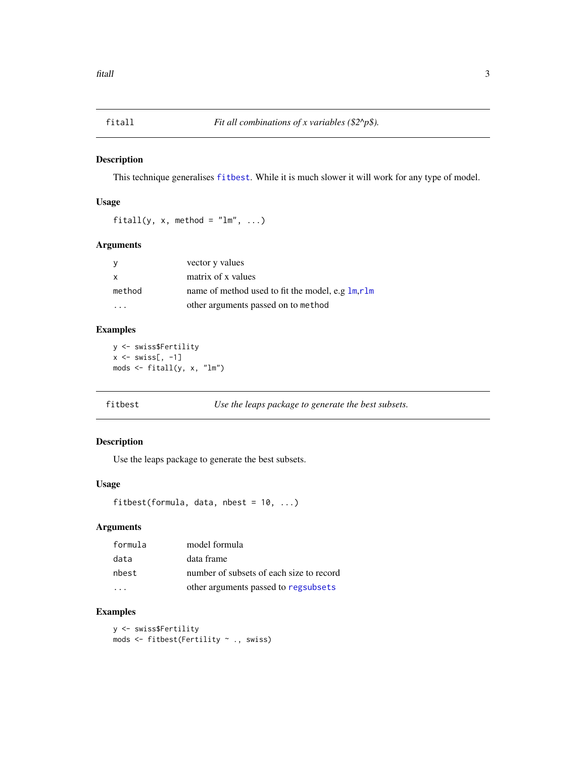<span id="page-2-0"></span>

#### Description

This technique generalises [fitbest](#page-2-1). While it is much slower it will work for any type of model.

#### Usage

fitall(y, x, method =  $"lm", ...$ )

#### Arguments

| - y          | vector y values                                  |
|--------------|--------------------------------------------------|
| $\mathsf{x}$ | matrix of x values                               |
| method       | name of method used to fit the model, e.g lm,rlm |
| .            | other arguments passed on to method              |

#### Examples

y <- swiss\$Fertility  $x \le -$  swiss[,  $-1$ ] mods <- fitall(y, x, "lm")

<span id="page-2-1"></span>fitbest *Use the leaps package to generate the best subsets.*

#### Description

Use the leaps package to generate the best subsets.

#### Usage

```
fitbest(formula, data, nbest = 10, ...)
```
#### Arguments

| formula | model formula                            |
|---------|------------------------------------------|
| data    | data frame                               |
| nbest   | number of subsets of each size to record |
|         | other arguments passed to regsubsets     |

#### Examples

y <- swiss\$Fertility mods <- fitbest(Fertility ~ ., swiss)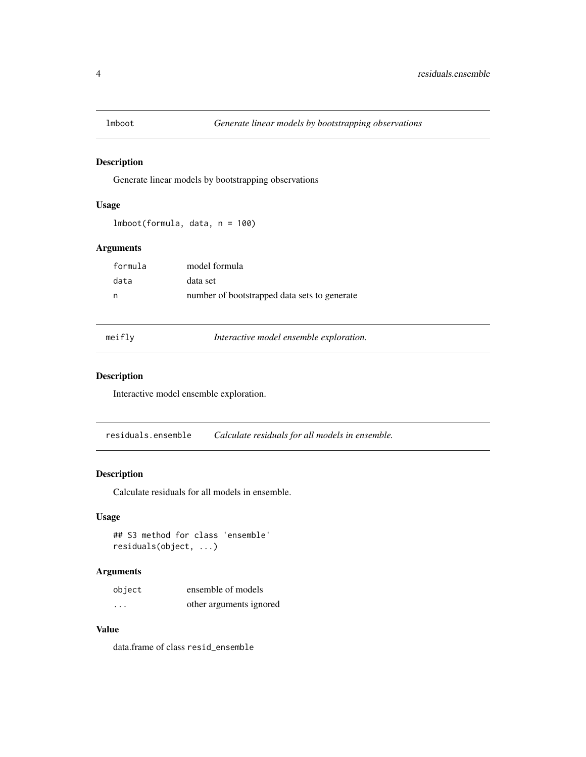<span id="page-3-0"></span>

#### Description

Generate linear models by bootstrapping observations

#### Usage

```
lmboot(formula, data, n = 100)
```
#### Arguments

| formula | model formula                                |
|---------|----------------------------------------------|
| data    | data set                                     |
| - n     | number of bootstrapped data sets to generate |

meifly *Interactive model ensemble exploration.*

#### Description

Interactive model ensemble exploration.

<span id="page-3-1"></span>residuals.ensemble *Calculate residuals for all models in ensemble.*

#### Description

Calculate residuals for all models in ensemble.

#### Usage

## S3 method for class 'ensemble' residuals(object, ...)

#### Arguments

| object   | ensemble of models      |
|----------|-------------------------|
| $\cdots$ | other arguments ignored |

#### Value

data.frame of class resid\_ensemble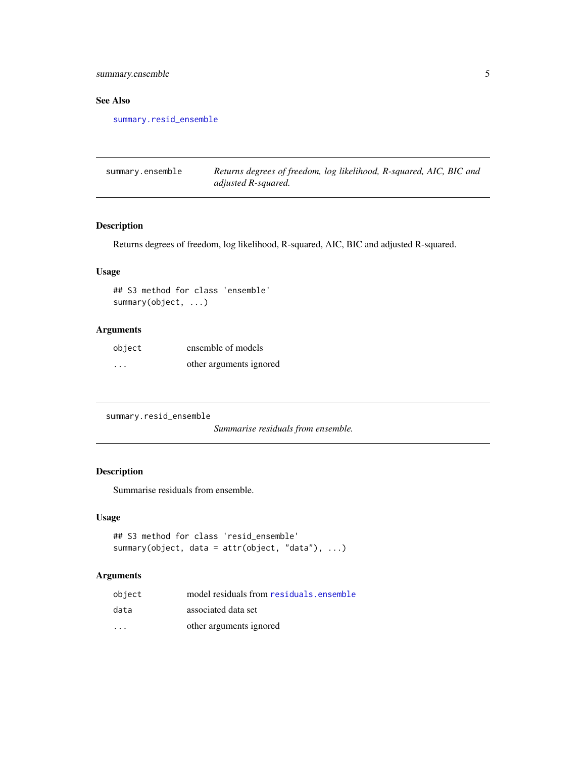<span id="page-4-0"></span>summary.ensemble 5

#### See Also

[summary.resid\\_ensemble](#page-4-1)

| summary.ensemble | Returns degrees of freedom, log likelihood, R-squared, AIC, BIC and |
|------------------|---------------------------------------------------------------------|
|                  | adjusted R-squared.                                                 |

#### Description

Returns degrees of freedom, log likelihood, R-squared, AIC, BIC and adjusted R-squared.

#### Usage

## S3 method for class 'ensemble' summary(object, ...)

#### Arguments

| object  | ensemble of models      |
|---------|-------------------------|
| $\cdot$ | other arguments ignored |

<span id="page-4-1"></span>summary.resid\_ensemble

*Summarise residuals from ensemble.*

#### Description

Summarise residuals from ensemble.

#### Usage

```
## S3 method for class 'resid_ensemble'
summary(object, data = attr(object, "data"), ...)
```
#### Arguments

| object  | model residuals from residuals, ensemble |
|---------|------------------------------------------|
| data    | associated data set                      |
| $\cdot$ | other arguments ignored                  |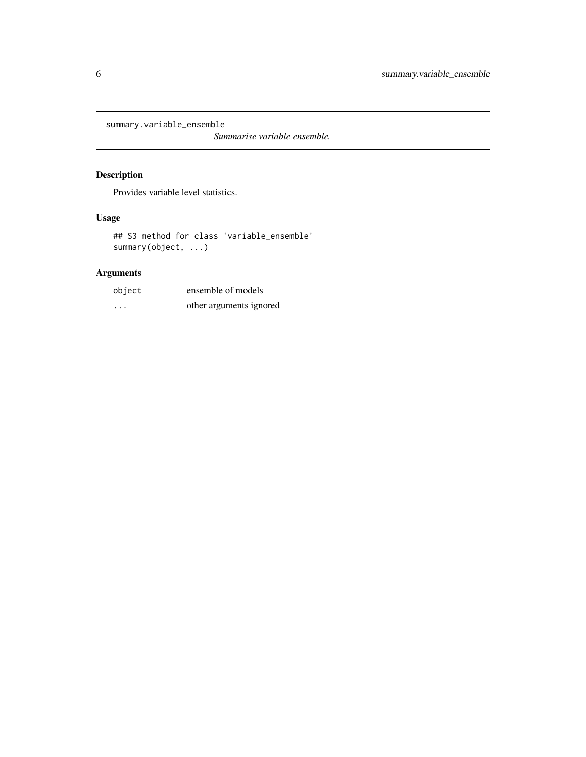<span id="page-5-0"></span>summary.variable\_ensemble

*Summarise variable ensemble.*

#### Description

Provides variable level statistics.

#### Usage

## S3 method for class 'variable\_ensemble' summary(object, ...)

#### Arguments

| object   | ensemble of models      |
|----------|-------------------------|
| $\cdots$ | other arguments ignored |